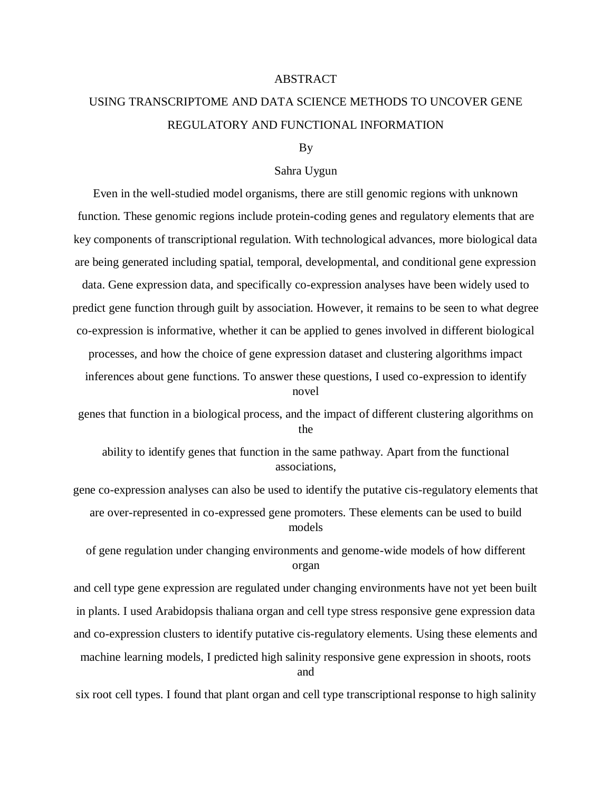## ABSTRACT

## USING TRANSCRIPTOME AND DATA SCIENCE METHODS TO UNCOVER GENE REGULATORY AND FUNCTIONAL INFORMATION

## By

## Sahra Uygun

Even in the well-studied model organisms, there are still genomic regions with unknown function. These genomic regions include protein-coding genes and regulatory elements that are key components of transcriptional regulation. With technological advances, more biological data are being generated including spatial, temporal, developmental, and conditional gene expression data. Gene expression data, and specifically co-expression analyses have been widely used to predict gene function through guilt by association. However, it remains to be seen to what degree co-expression is informative, whether it can be applied to genes involved in different biological processes, and how the choice of gene expression dataset and clustering algorithms impact inferences about gene functions. To answer these questions, I used co-expression to identify novel

genes that function in a biological process, and the impact of different clustering algorithms on the

ability to identify genes that function in the same pathway. Apart from the functional associations,

gene co-expression analyses can also be used to identify the putative cis-regulatory elements that are over-represented in co-expressed gene promoters. These elements can be used to build models

of gene regulation under changing environments and genome-wide models of how different organ

and cell type gene expression are regulated under changing environments have not yet been built in plants. I used Arabidopsis thaliana organ and cell type stress responsive gene expression data and co-expression clusters to identify putative cis-regulatory elements. Using these elements and machine learning models, I predicted high salinity responsive gene expression in shoots, roots and

six root cell types. I found that plant organ and cell type transcriptional response to high salinity